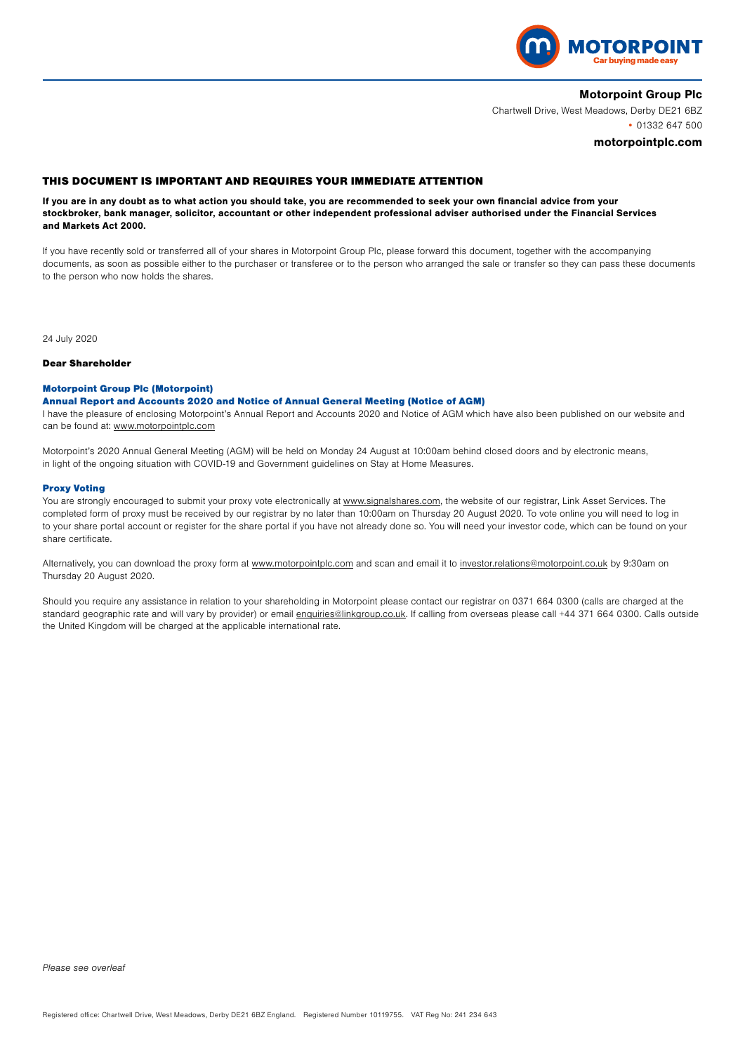

## Motorpoint Group Plc

Chartwell Drive, West Meadows, Derby DE21 6BZ • 01332 647 500

### motorpointplc.com

# THIS DOCUMENT IS IMPORTANT AND REQUIRES YOUR IMMEDIATE ATTENTION

If you are in any doubt as to what action you should take, you are recommended to seek your own financial advice from your stockbroker, bank manager, solicitor, accountant or other independent professional adviser authorised under the Financial Services and Markets Act 2000.

If you have recently sold or transferred all of your shares in Motorpoint Group Plc, please forward this document, together with the accompanying documents, as soon as possible either to the purchaser or transferee or to the person who arranged the sale or transfer so they can pass these documents to the person who now holds the shares.

24 July 2020

#### Dear Shareholder

### Motorpoint Group Plc (Motorpoint)

### Annual Report and Accounts 2020 and Notice of Annual General Meeting (Notice of AGM)

I have the pleasure of enclosing Motorpoint's Annual Report and Accounts 2020 and Notice of AGM which have also been published on our website and can be found at: www.motorpointplc.com

Motorpoint's 2020 Annual General Meeting (AGM) will be held on Monday 24 August at 10:00am behind closed doors and by electronic means, in light of the ongoing situation with COVID-19 and Government guidelines on Stay at Home Measures.

### Proxy Voting

You are strongly encouraged to submit your proxy vote electronically at www.signalshares.com, the website of our registrar, Link Asset Services. The completed form of proxy must be received by our registrar by no later than 10:00am on Thursday 20 August 2020. To vote online you will need to log in to your share portal account or register for the share portal if you have not already done so. You will need your investor code, which can be found on your share certificate.

Alternatively, you can download the proxy form at www.motorpointplc.com and scan and email it to investor.relations@motorpoint.co.uk by 9:30am on Thursday 20 August 2020.

Should you require any assistance in relation to your shareholding in Motorpoint please contact our registrar on 0371 664 0300 (calls are charged at the standard geographic rate and will vary by provider) or email enquiries@linkgroup.co.uk. If calling from overseas please call +44 371 664 0300. Calls outside the United Kingdom will be charged at the applicable international rate.